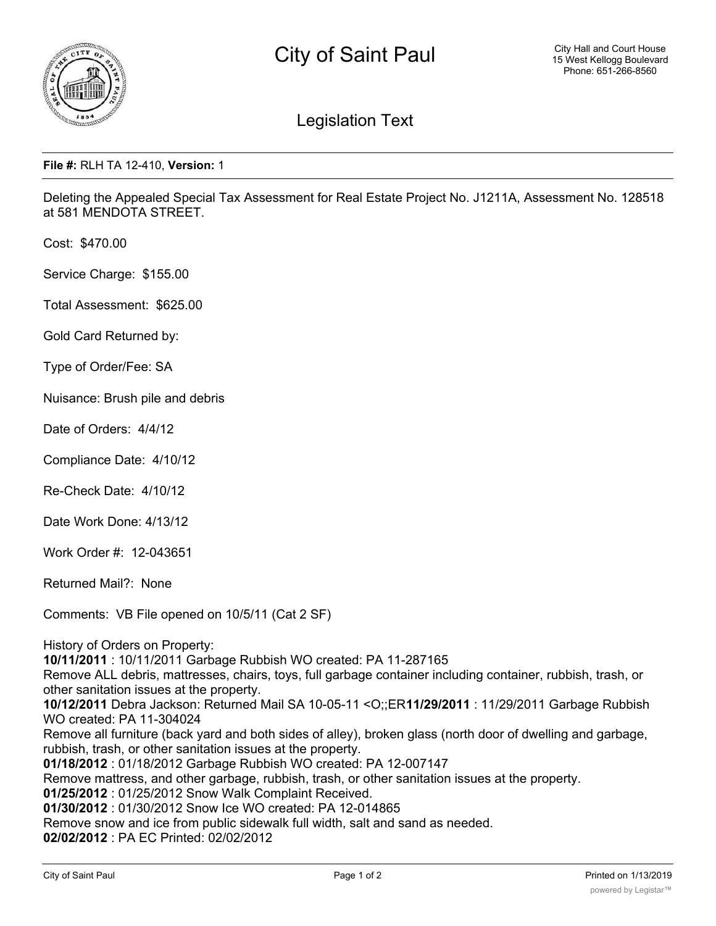

## Legislation Text

## **File #:** RLH TA 12-410, **Version:** 1

Deleting the Appealed Special Tax Assessment for Real Estate Project No. J1211A, Assessment No. 128518 at 581 MENDOTA STREET.

Cost: \$470.00

Service Charge: \$155.00

Total Assessment: \$625.00

Gold Card Returned by:

Type of Order/Fee: SA

Nuisance: Brush pile and debris

Date of Orders: 4/4/12

Compliance Date: 4/10/12

Re-Check Date: 4/10/12

Date Work Done: 4/13/12

Work Order #: 12-043651

Returned Mail?: None

Comments: VB File opened on 10/5/11 (Cat 2 SF)

History of Orders on Property:

**10/11/2011** : 10/11/2011 Garbage Rubbish WO created: PA 11-287165

Remove ALL debris, mattresses, chairs, toys, full garbage container including container, rubbish, trash, or other sanitation issues at the property.

**10/12/2011** Debra Jackson: Returned Mail SA 10-05-11 <O;;ER**11/29/2011** : 11/29/2011 Garbage Rubbish WO created: PA 11-304024

Remove all furniture (back yard and both sides of alley), broken glass (north door of dwelling and garbage, rubbish, trash, or other sanitation issues at the property.

**01/18/2012** : 01/18/2012 Garbage Rubbish WO created: PA 12-007147

Remove mattress, and other garbage, rubbish, trash, or other sanitation issues at the property.

**01/25/2012** : 01/25/2012 Snow Walk Complaint Received.

**01/30/2012** : 01/30/2012 Snow Ice WO created: PA 12-014865

Remove snow and ice from public sidewalk full width, salt and sand as needed.

**02/02/2012** : PA EC Printed: 02/02/2012